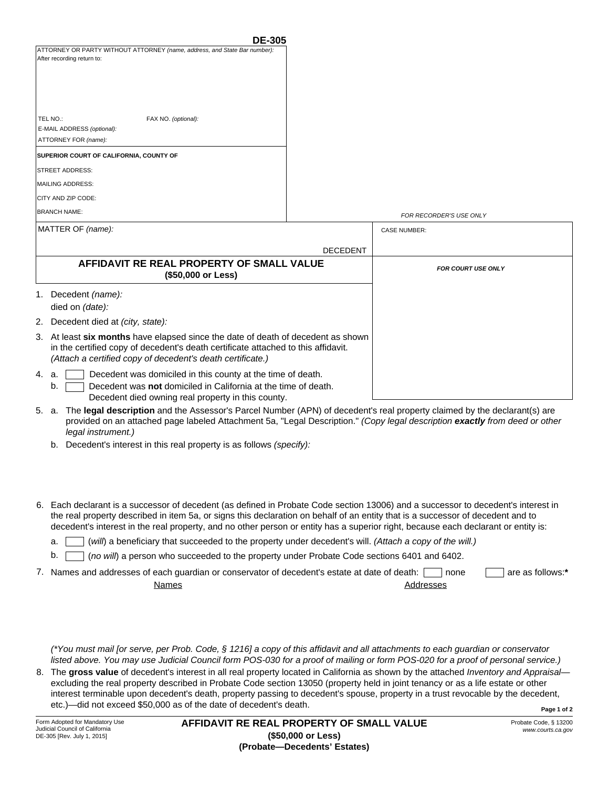| <b>DE-305</b>                                                             |  |  |
|---------------------------------------------------------------------------|--|--|
| ATTORNEY OR PARTY WITHOUT ATTORNEY (name, address, and State Bar number): |  |  |
| After recording return to:                                                |  |  |
|                                                                           |  |  |
|                                                                           |  |  |
|                                                                           |  |  |
|                                                                           |  |  |
|                                                                           |  |  |
| TEL NO.:<br>FAX NO. (optional):                                           |  |  |
| E-MAIL ADDRESS (optional):                                                |  |  |
| ATTORNEY FOR (name):                                                      |  |  |
| SUPERIOR COURT OF CALIFORNIA, COUNTY OF                                   |  |  |
|                                                                           |  |  |
| <b>STREET ADDRESS:</b>                                                    |  |  |
| MAILING ADDRESS:                                                          |  |  |
| CITY AND ZIP CODE:                                                        |  |  |
|                                                                           |  |  |
| <b>BRANCH NAME:</b>                                                       |  |  |
| $MATTTCDOT$ (pomo):                                                       |  |  |

| MATTER OF (name):                                                                                                                                                                                                                   | <b>CASE NUMBER:</b>       |  |
|-------------------------------------------------------------------------------------------------------------------------------------------------------------------------------------------------------------------------------------|---------------------------|--|
| <b>DECEDENT</b>                                                                                                                                                                                                                     |                           |  |
| AFFIDAVIT RE REAL PROPERTY OF SMALL VALUE<br>(\$50,000 or Less)                                                                                                                                                                     | <b>FOR COURT USE ONLY</b> |  |
| 1. Decedent <i>(name):</i><br>died on (date):                                                                                                                                                                                       |                           |  |
| 2. Decedent died at <i>(city, state):</i>                                                                                                                                                                                           |                           |  |
| 3. At least six months have elapsed since the date of death of decedent as shown<br>in the certified copy of decedent's death certificate attached to this affidavit.<br>(Attach a certified copy of decedent's death certificate.) |                           |  |
| Decedent was domiciled in this county at the time of death.<br>4. a.<br>Decedent was not domiciled in California at the time of death.<br>b.                                                                                        |                           |  |

Decedent died owning real property in this county.

- 5. a. The **legal description** and the Assessor's Parcel Number (APN) of decedent's real property claimed by the declarant(s) are provided on an attached page labeled Attachment 5a, "Legal Description." *(Copy legal description exactly from deed or other legal instrument.)*
	- b. Decedent's interest in this real property is as follows *(specify):*
- Each declarant is a successor of decedent (as defined in Probate Code section 13006) and a successor to decedent's interest in 6. the real property described in item 5a, or signs this declaration on behalf of an entity that is a successor of decedent and to decedent's interest in the real property, and no other person or entity has a superior right, because each declarant or entity is:
	- a. (*will*) a beneficiary that succeeded to the property under decedent's will. *(Attach a copy of the will.)*
	- b.  $\Gamma$ (*no will*) a person who succeeded to the property under Probate Code sections 6401 and 6402.

| 7. Names and addresses of each guardian or conservator of decedent's estate at date of death: none |           | are as follows:* |
|----------------------------------------------------------------------------------------------------|-----------|------------------|
| Names                                                                                              | Addresses |                  |

*(\*You must mail [or serve, per Prob. Code, § 1216] a copy of this affidavit and all attachments to each guardian or conservator listed above. You may use Judicial Council form POS-030 for a proof of mailing or form POS-020 for a proof of personal service.)*

**Page 1 of 2** 8. The **gross value** of decedent's interest in all real property located in California as shown by the attached *Inventory and Appraisal* excluding the real property described in Probate Code section 13050 (property held in joint tenancy or as a life estate or other interest terminable upon decedent's death, property passing to decedent's spouse, property in a trust revocable by the decedent, etc.)—did not exceed \$50,000 as of the date of decedent's death.

Probate Code, § 13200 *www.courts.ca.gov*